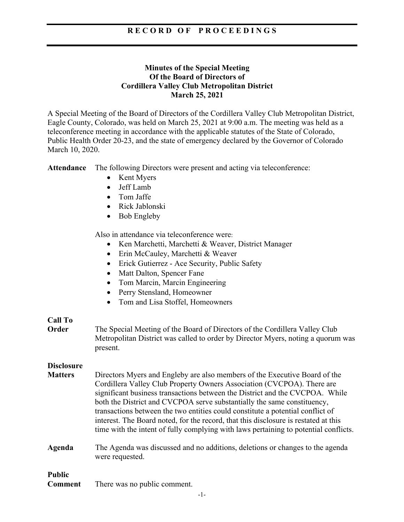### **R E C O R D O F P R O C E E D I N G S**

#### **Minutes of the Special Meeting Of the Board of Directors of Cordillera Valley Club Metropolitan District March 25, 2021**

A Special Meeting of the Board of Directors of the Cordillera Valley Club Metropolitan District, Eagle County, Colorado, was held on March 25, 2021 at 9:00 a.m. The meeting was held as a teleconference meeting in accordance with the applicable statutes of the State of Colorado, Public Health Order 20-23, and the state of emergency declared by the Governor of Colorado March 10, 2020.

**Attendance** The following Directors were present and acting via teleconference:

- Kent Myers
- Jeff Lamb
- Tom Jaffe
- Rick Jablonski
- Bob Engleby

Also in attendance via teleconference were:

- Ken Marchetti, Marchetti & Weaver, District Manager
- Erin McCauley, Marchetti & Weaver
- Erick Gutierrez Ace Security, Public Safety
- Matt Dalton, Spencer Fane
- Tom Marcin, Marcin Engineering
- Perry Stensland, Homeowner
- Tom and Lisa Stoffel, Homeowners

#### **Call To**

**Order** The Special Meeting of the Board of Directors of the Cordillera Valley Club Metropolitan District was called to order by Director Myers, noting a quorum was present.

#### **Disclosure**

**Matters** Directors Myers and Engleby are also members of the Executive Board of the Cordillera Valley Club Property Owners Association (CVCPOA). There are significant business transactions between the District and the CVCPOA. While both the District and CVCPOA serve substantially the same constituency, transactions between the two entities could constitute a potential conflict of interest. The Board noted, for the record, that this disclosure is restated at this time with the intent of fully complying with laws pertaining to potential conflicts.

#### **Agenda** The Agenda was discussed and no additions, deletions or changes to the agenda were requested.

## **Public**

**Comment** There was no public comment.